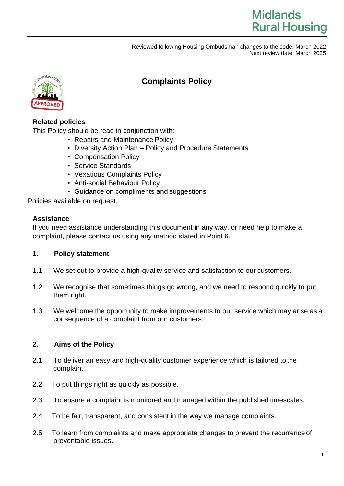

## **Complaints Policy**

## **Related policies**

This Policy should be read in conjunction with:

- Repairs and Maintenance Policy
- Diversity Action Plan Policy and Procedure Statements
- Compensation Policy
- Service Standards
- Vexatious Complaints Policy
- Anti-social Behaviour Policy
- Guidance on compliments and suggestions

Policies available on request.

## **Assistance**

If you need assistance understanding this document in any way, or need help to make a complaint, please contact us using any method stated in Point 6.

## **1. Policy statement**

- 1.1 We set out to provide a high-quality service and satisfaction to our customers.
- 1.2 We recognise that sometimes things go wrong, and we need to respond quickly to put them right.
- 1.3 We welcome the opportunity to make improvements to our service which may arise as a consequence of a complaint from our customers.

## **2. Aims of the Policy**

- 2.1 To deliver an easy and high-quality customer experience which is tailored to the complaint.
- 2.2 To put things right as quickly as possible.
- 2.3 To ensure a complaint is monitored and managed within the published timescales.
- 2.4 To be fair, transparent, and consistent in the way we manage complaints.
- 2.5 To learn from complaints and make appropriate changes to prevent the recurrence of preventable issues.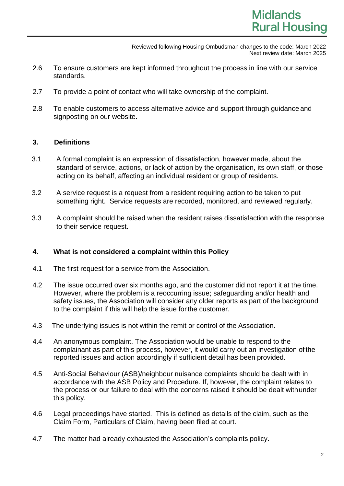- 2.6 To ensure customers are kept informed throughout the process in line with our service standards.
- 2.7 To provide a point of contact who will take ownership of the complaint.
- 2.8 To enable customers to access alternative advice and support through guidance and signposting on our website.

## **3. Definitions**

- 3.1 A formal complaint is an expression of dissatisfaction, however made, about the standard of service, actions, or lack of action by the organisation, its own staff, or those acting on its behalf, affecting an individual resident or group of residents.
- 3.2 A service request is a request from a resident requiring action to be taken to put something right. Service requests are recorded, monitored, and reviewed regularly.
- 3.3 A complaint should be raised when the resident raises dissatisfaction with the response to their service request.

## **4. What is not considered a complaint within this Policy**

- 4.1 The first request for a service from the Association.
- 4.2 The issue occurred over six months ago, and the customer did not report it at the time. However, where the problem is a reoccurring issue; safeguarding and/or health and safety issues, the Association will consider any older reports as part of the background to the complaint if this will help the issue forthe customer.
- 4.3 The underlying issues is not within the remit or control of the Association.
- 4.4 An anonymous complaint. The Association would be unable to respond to the complainant as part of this process, however, it would carry out an investigation of the reported issues and action accordingly if sufficient detail has been provided.
- 4.5 Anti-Social Behaviour (ASB)/neighbour nuisance complaints should be dealt with in accordance with the ASB Policy and Procedure. If, however, the complaint relates to the process or our failure to deal with the concerns raised it should be dealt withunder this policy.
- 4.6 Legal proceedings have started. This is defined as details of the claim, such as the Claim Form, Particulars of Claim, having been filed at court.
- 4.7 The matter had already exhausted the Association's complaints policy.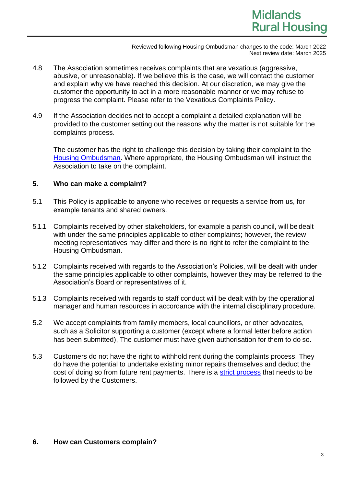# **Midlands Rural Housing**

Reviewed following Housing Ombudsman changes to the code: March 2022 Next review date: March 2025

- 4.8 The Association sometimes receives complaints that are vexatious (aggressive, abusive, or unreasonable). If we believe this is the case, we will contact the customer and explain why we have reached this decision. At our discretion, we may give the customer the opportunity to act in a more reasonable manner or we may refuse to progress the complaint. Please refer to the Vexatious Complaints Policy.
- 4.9 If the Association decides not to accept a complaint a detailed explanation will be provided to the customer setting out the reasons why the matter is not suitable for the complaints process.

The customer has the right to challenge this decision by taking their complaint to the [Housing Ombudsman.](https://www.housing-ombudsman.org.uk/residents) Where appropriate, the Housing Ombudsman will instruct the Association to take on the complaint.

## **5. Who can make a complaint?**

- 5.1 This Policy is applicable to anyone who receives or requests a service from us, for example tenants and shared owners.
- 5.1.1 Complaints received by other stakeholders, for example a parish council, will be dealt with under the same principles applicable to other complaints; however, the review meeting representatives may differ and there is no right to refer the complaint to the Housing Ombudsman.
- 5.1.2 Complaints received with regards to the Association's Policies, will be dealt with under the same principles applicable to other complaints, however they may be referred to the Association's Board or representatives of it.
- 5.1.3 Complaints received with regards to staff conduct will be dealt with by the operational manager and human resources in accordance with the internal disciplinary procedure.
- 5.2 We accept complaints from family members, local councillors, or other advocates, such as a Solicitor supporting a customer (except where a formal letter before action has been submitted), The customer must have given authorisation for them to do so.
- 5.3 Customers do not have the right to withhold rent during the complaints process. They do have the potential to undertake existing minor repairs themselves and deduct the cost of doing so from future rent payments. There is a [strict process](https://england.shelter.org.uk/housing_advice/repairs/doing_the_repairs_if_your_landlo%20rd_wont) that needs to be followed by the Customers.

## **6. How can Customers complain?**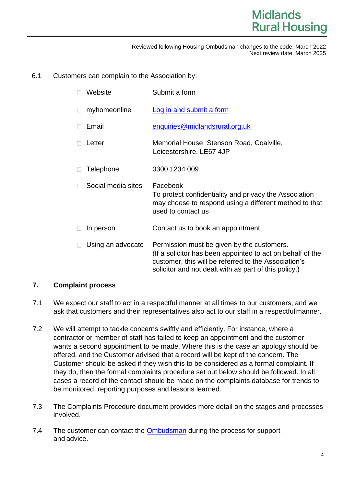## 6.1 Customers can complain to the Association by:

|    | Website            | Submit a form                                                                                                                                                                                                             |
|----|--------------------|---------------------------------------------------------------------------------------------------------------------------------------------------------------------------------------------------------------------------|
|    | myhomeonline       | Log in and submit a form                                                                                                                                                                                                  |
| П. | Email              | enquiries@midlandsrural.org.uk                                                                                                                                                                                            |
|    | Letter             | Memorial House, Stenson Road, Coalville,<br>Leicestershire, LE67 4JP                                                                                                                                                      |
|    | Telephone          | 0300 1234 009                                                                                                                                                                                                             |
|    | Social media sites | Facebook<br>To protect confidentiality and privacy the Association<br>may choose to respond using a different method to that<br>used to contact us                                                                        |
|    | In person          | Contact us to book an appointment                                                                                                                                                                                         |
|    | Using an advocate  | Permission must be given by the customers.<br>(If a solicitor has been appointed to act on behalf of the<br>customer, this will be referred to the Association's<br>solicitor and not dealt with as part of this policy.) |

## **7. Complaint process**

- 7.1 We expect our staff to act in a respectful manner at all times to our customers, and we ask that customers and their representatives also act to our staff in a respectfulmanner.
- 7.2 We will attempt to tackle concerns swiftly and efficiently. For instance, where a contractor or member of staff has failed to keep an appointment and the customer wants a second appointment to be made. Where this is the case an apology should be offered, and the Customer advised that a record will be kept of the concern. The Customer should be asked if they wish this to be considered as a formal complaint. If they do, then the formal complaints procedure set out below should be followed. In all cases a record of the contact should be made on the complaints database for trends to be monitored, reporting purposes and lessons learned.
- 7.3 The Complaints Procedure document provides more detail on the stages and processes involved.
- 7.4 The customer can contact the **Ombudsman** during the process for support and advice.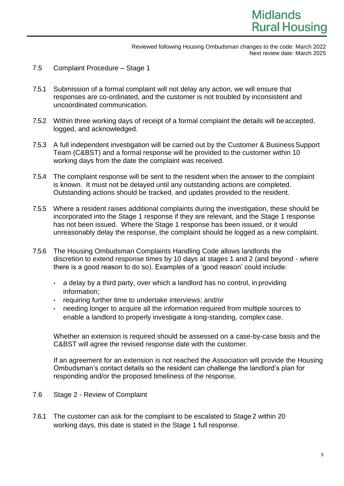- 7.5 Complaint Procedure Stage 1
- 7.5.1 Submission of a formal complaint will not delay any action, we will ensure that responses are co-ordinated, and the customer is not troubled by inconsistent and uncoordinated communication.
- 7.5.2 Within three working days of receipt of a formal complaint the details will beaccepted, logged, and acknowledged.
- 7.5.3 A full independent investigation will be carried out by the Customer & Business Support Team (C&BST) and a formal response will be provided to the customer within 10 working days from the date the complaint was received.
- 7.5.4 The complaint response will be sent to the resident when the answer to the complaint is known. It must not be delayed until any outstanding actions are completed. Outstanding actions should be tracked, and updates provided to the resident.
- 7.5.5 Where a resident raises additional complaints during the investigation, these should be incorporated into the Stage 1 response if they are relevant, and the Stage 1 response has not been issued. Where the Stage 1 response has been issued, or it would unreasonably delay the response, the complaint should be logged as a new complaint.
- 7.5.6 The Housing Ombudsman Complaints Handling Code allows landlords the discretion to extend response times by 10 days at stages 1 and 2 (and beyond - where there is a good reason to do so). Examples of a 'good reason' could include:
	- a delay by a third party, over which a landlord has no control, in providing information;
	- requiring further time to undertake interviews; and/or
	- needing longer to acquire all the information required from multiple sources to enable a landlord to properly investigate a long-standing, complex case.

Whether an extension is required should be assessed on a case-by-case basis and the C&BST will agree the revised response date with the customer.

If an agreement for an extension is not reached the Association will provide the Housing Ombudsman's contact details so the resident can challenge the landlord's plan for responding and/or the proposed timeliness of the response.

- 7.6 Stage 2 Review of Complaint
- 7.6.1 The customer can ask for the complaint to be escalated to Stage 2 within 20 working days, this date is stated in the Stage 1 full response.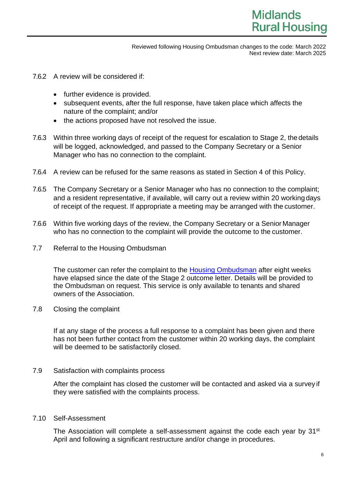- 7.6.2 A review will be considered if:
	- further evidence is provided.
	- subsequent events, after the full response, have taken place which affects the nature of the complaint; and/or
	- the actions proposed have not resolved the issue.
- 7.6.3 Within three working days of receipt of the request for escalation to Stage 2, the details will be logged, acknowledged, and passed to the Company Secretary or a Senior Manager who has no connection to the complaint.
- 7.6.4 A review can be refused for the same reasons as stated in Section 4 of this Policy.
- 7.6.5 The Company Secretary or a Senior Manager who has no connection to the complaint; and a resident representative, if available, will carry out a review within 20 working days of receipt of the request. If appropriate a meeting may be arranged with the customer.
- 7.6.6 Within five working days of the review, the Company Secretary or a Senior Manager who has no connection to the complaint will provide the outcome to the customer.
- 7.7 Referral to the Housing Ombudsman

The customer can refer the complaint to the [Housing Ombudsman](https://www.housing-ombudsman.org.uk/residents) after eight weeks have elapsed since the date of the Stage 2 outcome letter. Details will be provided to the Ombudsman on request. This service is only available to tenants and shared owners of the Association.

7.8 Closing the complaint

If at any stage of the process a full response to a complaint has been given and there has not been further contact from the customer within 20 working days, the complaint will be deemed to be satisfactorily closed.

#### 7.9 Satisfaction with complaints process

After the complaint has closed the customer will be contacted and asked via a survey if they were satisfied with the complaints process.

#### 7.10 Self-Assessment

The Association will complete a self-assessment against the code each year by 31<sup>st</sup> April and following a significant restructure and/or change in procedures.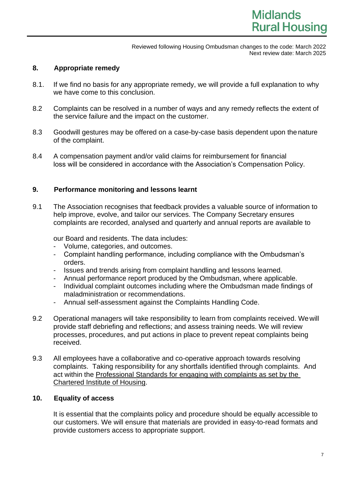## **8. Appropriate remedy**

- 8.1. If we find no basis for any appropriate remedy, we will provide a full explanation to why we have come to this conclusion.
- 8.2 Complaints can be resolved in a number of ways and any remedy reflects the extent of the service failure and the impact on the customer.
- 8.3 Goodwill gestures may be offered on a case-by-case basis dependent upon the nature of the complaint.
- 8.4 A compensation payment and/or valid claims for reimbursement for financial loss will be considered in accordance with the Association's Compensation Policy.

## **9. Performance monitoring and lessons learnt**

9.1 The Association recognises that feedback provides a valuable source of information to help improve, evolve, and tailor our services. The Company Secretary ensures complaints are recorded, analysed and quarterly and annual reports are available to

our Board and residents. The data includes:

- Volume, categories, and outcomes.
- Complaint handling performance, including compliance with the Ombudsman's orders.
- Issues and trends arising from complaint handling and lessons learned.
- Annual performance report produced by the Ombudsman, where applicable.
- Individual complaint outcomes including where the Ombudsman made findings of maladministration or recommendations.
- Annual self-assessment against the Complaints Handling Code.
- 9.2 Operational managers will take responsibility to learn from complaints received. Wewill provide staff debriefing and reflections; and assess training needs. We will review processes, procedures, and put actions in place to prevent repeat complaints being received.
- 9.3 All employees have a collaborative and co-operative approach towards resolving complaints. Taking responsibility for any shortfalls identified through complaints. And act within the [Professional Standards for engaging with complaints as set by the](https://www.cih.org/professional-standards)  [Chartered Institute of Housing.](https://www.cih.org/professional-standards)

## **10. Equality of access**

It is essential that the complaints policy and procedure should be equally accessible to our customers. We will ensure that materials are provided in easy-to-read formats and provide customers access to appropriate support.